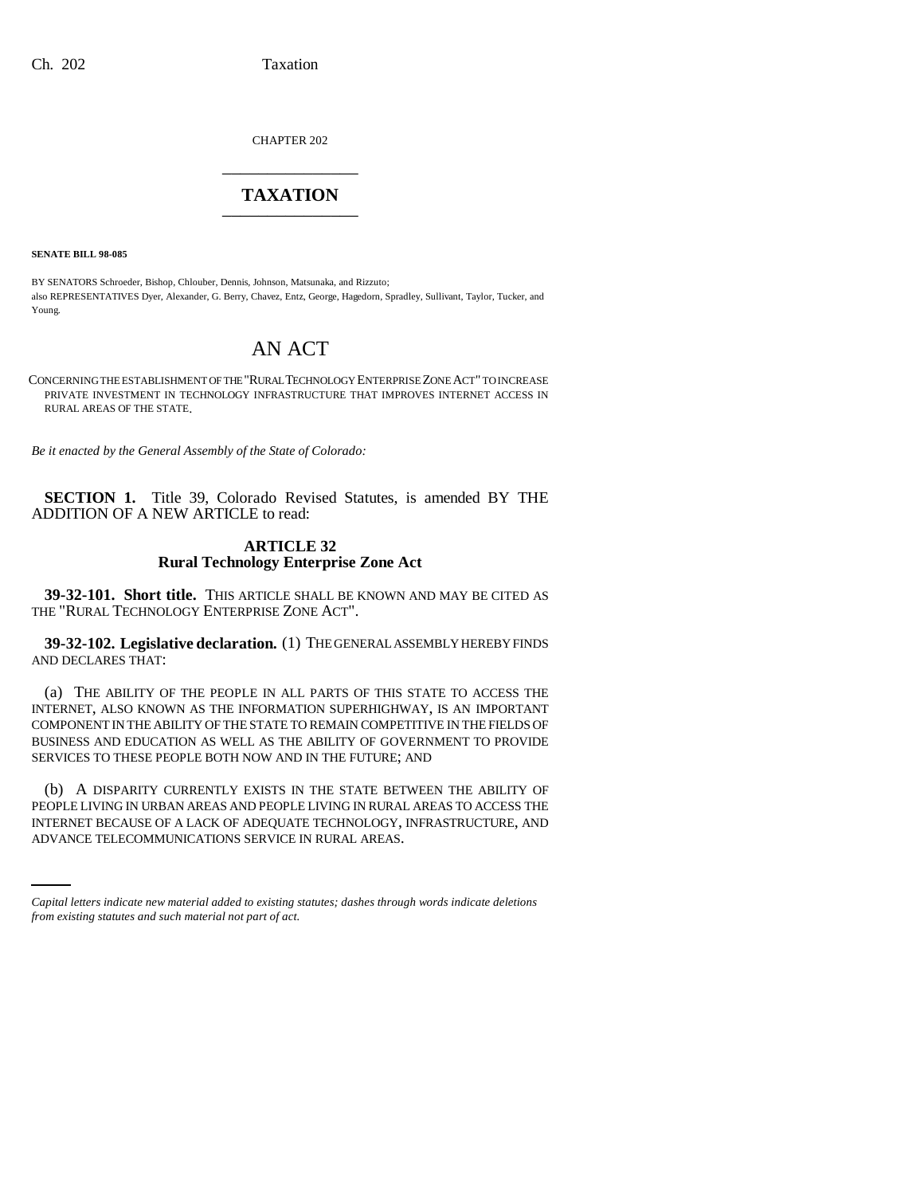CHAPTER 202 \_\_\_\_\_\_\_\_\_\_\_\_\_\_\_

## **TAXATION** \_\_\_\_\_\_\_\_\_\_\_\_\_\_\_

**SENATE BILL 98-085**

BY SENATORS Schroeder, Bishop, Chlouber, Dennis, Johnson, Matsunaka, and Rizzuto; also REPRESENTATIVES Dyer, Alexander, G. Berry, Chavez, Entz, George, Hagedorn, Spradley, Sullivant, Taylor, Tucker, and Young.

# AN ACT

CONCERNING THE ESTABLISHMENT OF THE "RURAL TECHNOLOGY ENTERPRISE ZONE ACT" TO INCREASE PRIVATE INVESTMENT IN TECHNOLOGY INFRASTRUCTURE THAT IMPROVES INTERNET ACCESS IN RURAL AREAS OF THE STATE.

*Be it enacted by the General Assembly of the State of Colorado:*

**SECTION 1.** Title 39, Colorado Revised Statutes, is amended BY THE ADDITION OF A NEW ARTICLE to read:

### **ARTICLE 32 Rural Technology Enterprise Zone Act**

**39-32-101. Short title.** THIS ARTICLE SHALL BE KNOWN AND MAY BE CITED AS THE "RURAL TECHNOLOGY ENTERPRISE ZONE ACT".

**39-32-102. Legislative declaration.** (1) THE GENERAL ASSEMBLY HEREBY FINDS AND DECLARES THAT:

(a) THE ABILITY OF THE PEOPLE IN ALL PARTS OF THIS STATE TO ACCESS THE INTERNET, ALSO KNOWN AS THE INFORMATION SUPERHIGHWAY, IS AN IMPORTANT COMPONENT IN THE ABILITY OF THE STATE TO REMAIN COMPETITIVE IN THE FIELDS OF BUSINESS AND EDUCATION AS WELL AS THE ABILITY OF GOVERNMENT TO PROVIDE SERVICES TO THESE PEOPLE BOTH NOW AND IN THE FUTURE; AND

PEOPLE LIVING IN URBAN AREAS AND PEOPLE LIVING IN RURAL AREAS TO ACCESS THE (b) A DISPARITY CURRENTLY EXISTS IN THE STATE BETWEEN THE ABILITY OF INTERNET BECAUSE OF A LACK OF ADEQUATE TECHNOLOGY, INFRASTRUCTURE, AND ADVANCE TELECOMMUNICATIONS SERVICE IN RURAL AREAS.

*Capital letters indicate new material added to existing statutes; dashes through words indicate deletions from existing statutes and such material not part of act.*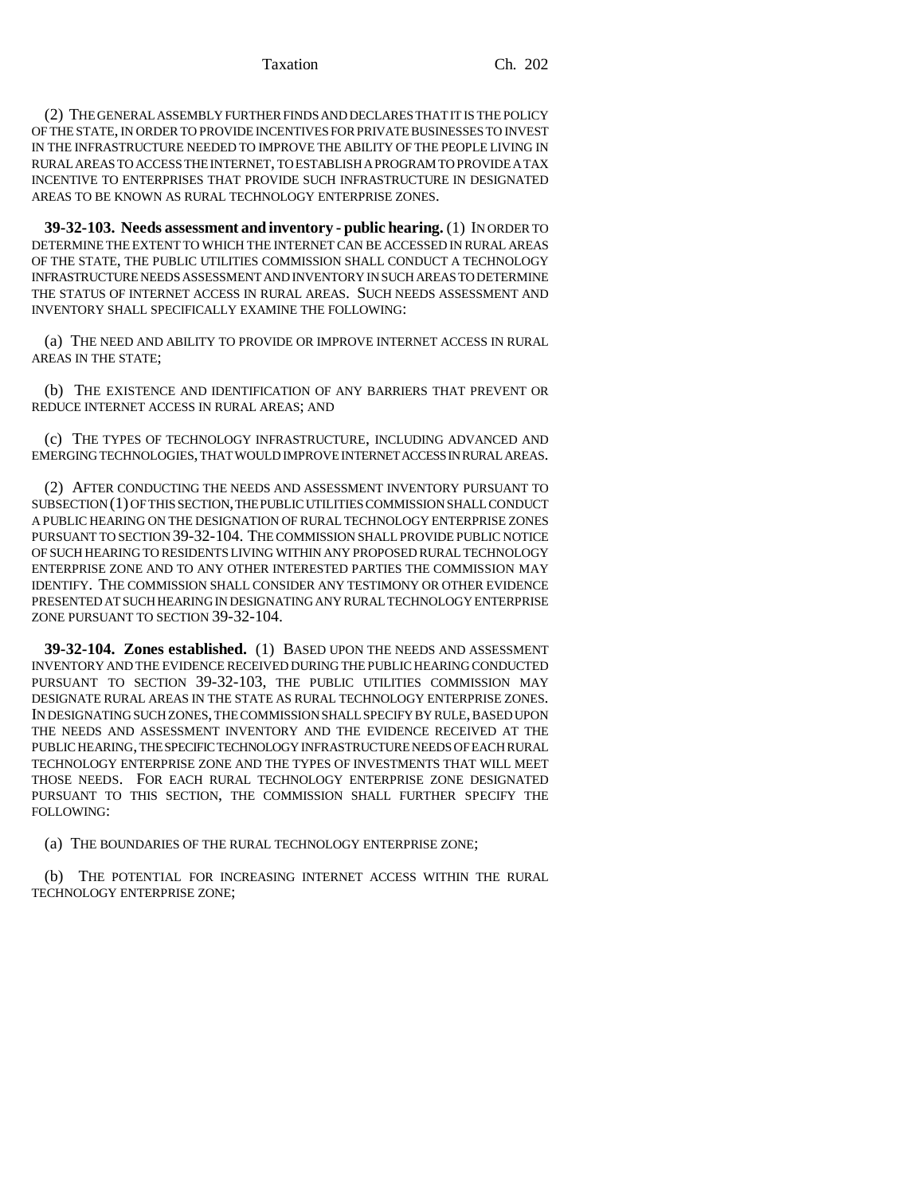(2) THE GENERAL ASSEMBLY FURTHER FINDS AND DECLARES THAT IT IS THE POLICY OF THE STATE, IN ORDER TO PROVIDE INCENTIVES FOR PRIVATE BUSINESSES TO INVEST IN THE INFRASTRUCTURE NEEDED TO IMPROVE THE ABILITY OF THE PEOPLE LIVING IN RURAL AREAS TO ACCESS THE INTERNET, TO ESTABLISH A PROGRAM TO PROVIDE A TAX INCENTIVE TO ENTERPRISES THAT PROVIDE SUCH INFRASTRUCTURE IN DESIGNATED AREAS TO BE KNOWN AS RURAL TECHNOLOGY ENTERPRISE ZONES.

**39-32-103. Needs assessment and inventory - public hearing.** (1) IN ORDER TO DETERMINE THE EXTENT TO WHICH THE INTERNET CAN BE ACCESSED IN RURAL AREAS OF THE STATE, THE PUBLIC UTILITIES COMMISSION SHALL CONDUCT A TECHNOLOGY INFRASTRUCTURE NEEDS ASSESSMENT AND INVENTORY IN SUCH AREAS TO DETERMINE THE STATUS OF INTERNET ACCESS IN RURAL AREAS. SUCH NEEDS ASSESSMENT AND INVENTORY SHALL SPECIFICALLY EXAMINE THE FOLLOWING:

(a) THE NEED AND ABILITY TO PROVIDE OR IMPROVE INTERNET ACCESS IN RURAL AREAS IN THE STATE;

(b) THE EXISTENCE AND IDENTIFICATION OF ANY BARRIERS THAT PREVENT OR REDUCE INTERNET ACCESS IN RURAL AREAS; AND

(c) THE TYPES OF TECHNOLOGY INFRASTRUCTURE, INCLUDING ADVANCED AND EMERGING TECHNOLOGIES, THAT WOULD IMPROVE INTERNET ACCESS IN RURAL AREAS.

(2) AFTER CONDUCTING THE NEEDS AND ASSESSMENT INVENTORY PURSUANT TO SUBSECTION (1) OF THIS SECTION, THE PUBLIC UTILITIES COMMISSION SHALL CONDUCT A PUBLIC HEARING ON THE DESIGNATION OF RURAL TECHNOLOGY ENTERPRISE ZONES PURSUANT TO SECTION 39-32-104. THE COMMISSION SHALL PROVIDE PUBLIC NOTICE OF SUCH HEARING TO RESIDENTS LIVING WITHIN ANY PROPOSED RURAL TECHNOLOGY ENTERPRISE ZONE AND TO ANY OTHER INTERESTED PARTIES THE COMMISSION MAY IDENTIFY. THE COMMISSION SHALL CONSIDER ANY TESTIMONY OR OTHER EVIDENCE PRESENTED AT SUCH HEARING IN DESIGNATING ANY RURAL TECHNOLOGY ENTERPRISE ZONE PURSUANT TO SECTION 39-32-104.

**39-32-104. Zones established.** (1) BASED UPON THE NEEDS AND ASSESSMENT INVENTORY AND THE EVIDENCE RECEIVED DURING THE PUBLIC HEARING CONDUCTED PURSUANT TO SECTION 39-32-103, THE PUBLIC UTILITIES COMMISSION MAY DESIGNATE RURAL AREAS IN THE STATE AS RURAL TECHNOLOGY ENTERPRISE ZONES. IN DESIGNATING SUCH ZONES, THE COMMISSION SHALL SPECIFY BY RULE, BASED UPON THE NEEDS AND ASSESSMENT INVENTORY AND THE EVIDENCE RECEIVED AT THE PUBLIC HEARING, THE SPECIFIC TECHNOLOGY INFRASTRUCTURE NEEDS OF EACH RURAL TECHNOLOGY ENTERPRISE ZONE AND THE TYPES OF INVESTMENTS THAT WILL MEET THOSE NEEDS. FOR EACH RURAL TECHNOLOGY ENTERPRISE ZONE DESIGNATED PURSUANT TO THIS SECTION, THE COMMISSION SHALL FURTHER SPECIFY THE FOLLOWING:

(a) THE BOUNDARIES OF THE RURAL TECHNOLOGY ENTERPRISE ZONE;

(b) THE POTENTIAL FOR INCREASING INTERNET ACCESS WITHIN THE RURAL TECHNOLOGY ENTERPRISE ZONE;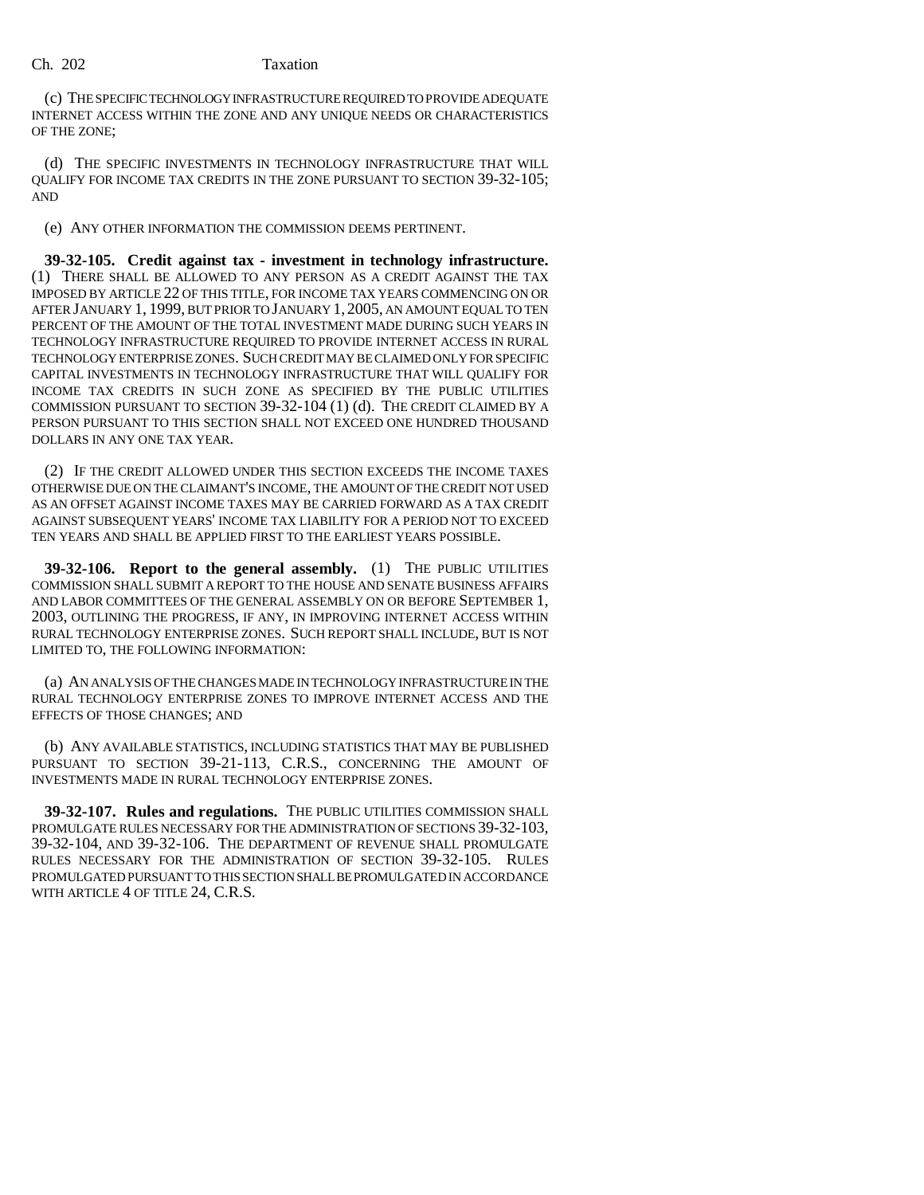#### Ch. 202 Taxation

(c) THE SPECIFIC TECHNOLOGY INFRASTRUCTURE REQUIRED TO PROVIDE ADEQUATE INTERNET ACCESS WITHIN THE ZONE AND ANY UNIQUE NEEDS OR CHARACTERISTICS OF THE ZONE;

(d) THE SPECIFIC INVESTMENTS IN TECHNOLOGY INFRASTRUCTURE THAT WILL QUALIFY FOR INCOME TAX CREDITS IN THE ZONE PURSUANT TO SECTION 39-32-105; AND

(e) ANY OTHER INFORMATION THE COMMISSION DEEMS PERTINENT.

**39-32-105. Credit against tax - investment in technology infrastructure.** (1) THERE SHALL BE ALLOWED TO ANY PERSON AS A CREDIT AGAINST THE TAX IMPOSED BY ARTICLE 22 OF THIS TITLE, FOR INCOME TAX YEARS COMMENCING ON OR AFTER JANUARY 1, 1999, BUT PRIOR TO JANUARY 1, 2005, AN AMOUNT EQUAL TO TEN PERCENT OF THE AMOUNT OF THE TOTAL INVESTMENT MADE DURING SUCH YEARS IN TECHNOLOGY INFRASTRUCTURE REQUIRED TO PROVIDE INTERNET ACCESS IN RURAL TECHNOLOGY ENTERPRISE ZONES. SUCH CREDIT MAY BE CLAIMED ONLY FOR SPECIFIC CAPITAL INVESTMENTS IN TECHNOLOGY INFRASTRUCTURE THAT WILL QUALIFY FOR INCOME TAX CREDITS IN SUCH ZONE AS SPECIFIED BY THE PUBLIC UTILITIES COMMISSION PURSUANT TO SECTION 39-32-104 (1) (d). THE CREDIT CLAIMED BY A PERSON PURSUANT TO THIS SECTION SHALL NOT EXCEED ONE HUNDRED THOUSAND DOLLARS IN ANY ONE TAX YEAR.

(2) IF THE CREDIT ALLOWED UNDER THIS SECTION EXCEEDS THE INCOME TAXES OTHERWISE DUE ON THE CLAIMANT'S INCOME, THE AMOUNT OF THE CREDIT NOT USED AS AN OFFSET AGAINST INCOME TAXES MAY BE CARRIED FORWARD AS A TAX CREDIT AGAINST SUBSEQUENT YEARS' INCOME TAX LIABILITY FOR A PERIOD NOT TO EXCEED TEN YEARS AND SHALL BE APPLIED FIRST TO THE EARLIEST YEARS POSSIBLE.

**39-32-106. Report to the general assembly.** (1) THE PUBLIC UTILITIES COMMISSION SHALL SUBMIT A REPORT TO THE HOUSE AND SENATE BUSINESS AFFAIRS AND LABOR COMMITTEES OF THE GENERAL ASSEMBLY ON OR BEFORE SEPTEMBER 1, 2003, OUTLINING THE PROGRESS, IF ANY, IN IMPROVING INTERNET ACCESS WITHIN RURAL TECHNOLOGY ENTERPRISE ZONES. SUCH REPORT SHALL INCLUDE, BUT IS NOT LIMITED TO, THE FOLLOWING INFORMATION:

(a) AN ANALYSIS OF THE CHANGES MADE IN TECHNOLOGY INFRASTRUCTURE IN THE RURAL TECHNOLOGY ENTERPRISE ZONES TO IMPROVE INTERNET ACCESS AND THE EFFECTS OF THOSE CHANGES; AND

(b) ANY AVAILABLE STATISTICS, INCLUDING STATISTICS THAT MAY BE PUBLISHED PURSUANT TO SECTION 39-21-113, C.R.S., CONCERNING THE AMOUNT OF INVESTMENTS MADE IN RURAL TECHNOLOGY ENTERPRISE ZONES.

**39-32-107. Rules and regulations.** THE PUBLIC UTILITIES COMMISSION SHALL PROMULGATE RULES NECESSARY FOR THE ADMINISTRATION OF SECTIONS 39-32-103, 39-32-104, AND 39-32-106. THE DEPARTMENT OF REVENUE SHALL PROMULGATE RULES NECESSARY FOR THE ADMINISTRATION OF SECTION 39-32-105. RULES PROMULGATED PURSUANT TO THIS SECTION SHALL BE PROMULGATED IN ACCORDANCE WITH ARTICLE 4 OF TITLE 24, C.R.S.